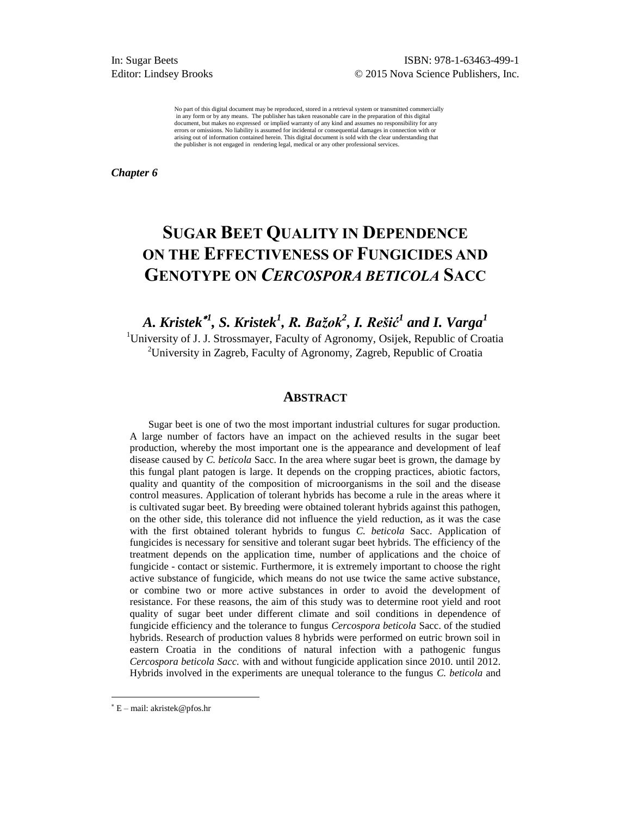No part of this digital document may be reproduced, stored in a retrieval system or transmitted commercially in any form or by any means. The publisher has taken reasonable care in the preparation of this digital document, but makes no expressed or implied warranty of any kind and assumes no responsibility for any errors or omissions. No liability is assumed for incidental or consequential damages in connection with or arising out of information contained herein. This digital document is sold with the clear understanding that the publisher is not engaged in rendering legal, medical or any other professional services.

*Chapter 6* 

# **SUGAR BEET QUALITY IN DEPENDENCE ON THE EFFECTIVENESS OF FUNGICIDES AND GENOTYPE ON** *CERCOSPORA BETICOLA* **SACC**

# *A. Kristek<sup>1</sup> , S. Kristek<sup>1</sup> , R. Bažok<sup>2</sup> , I. Rešić<sup>1</sup> and I. Varga<sup>1</sup>*

<sup>1</sup>University of J. J. Strossmayer, Faculty of Agronomy, Osijek, Republic of Croatia <sup>2</sup>University in Zagreb, Faculty of Agronomy, Zagreb, Republic of Croatia

#### **ABSTRACT**

Sugar beet is one of two the most important industrial cultures for sugar production. A large number of factors have an impact on the achieved results in the sugar beet production, whereby the most important one is the appearance and development of leaf disease caused by *C. beticola* Sacc. In the area where sugar beet is grown, the damage by this fungal plant patogen is large. It depends on the cropping practices, abiotic factors, quality and quantity of the composition of microorganisms in the soil and the disease control measures. Application of tolerant hybrids has become a rule in the areas where it is cultivated sugar beet. By breeding were obtained tolerant hybrids against this pathogen, on the other side, this tolerance did not influence the yield reduction, as it was the case with the first obtained tolerant hybrids to fungus *C. beticola* Sacc. Application of fungicides is necessary for sensitive and tolerant sugar beet hybrids. The efficiency of the treatment depends on the application time, number of applications and the choice of fungicide - contact or sistemic. Furthermore, it is extremely important to choose the right active substance of fungicide, which means do not use twice the same active substance, or combine two or more active substances in order to avoid the development of resistance. For these reasons, the aim of this study was to determine root yield and root quality of sugar beet under different climate and soil conditions in dependence of fungicide efficiency and the tolerance to fungus *Cercospora beticola* Sacc. of the studied hybrids. Research of production values 8 hybrids were performed on eutric brown soil in eastern Croatia in the conditions of natural infection with a pathogenic fungus *Cercospora beticola Sacc.* with and without fungicide application since 2010. until 2012. Hybrids involved in the experiments are unequal tolerance to the fungus *C. beticola* and

 $\overline{\phantom{a}}$ 

 $E$  – mail: akristek@pfos.hr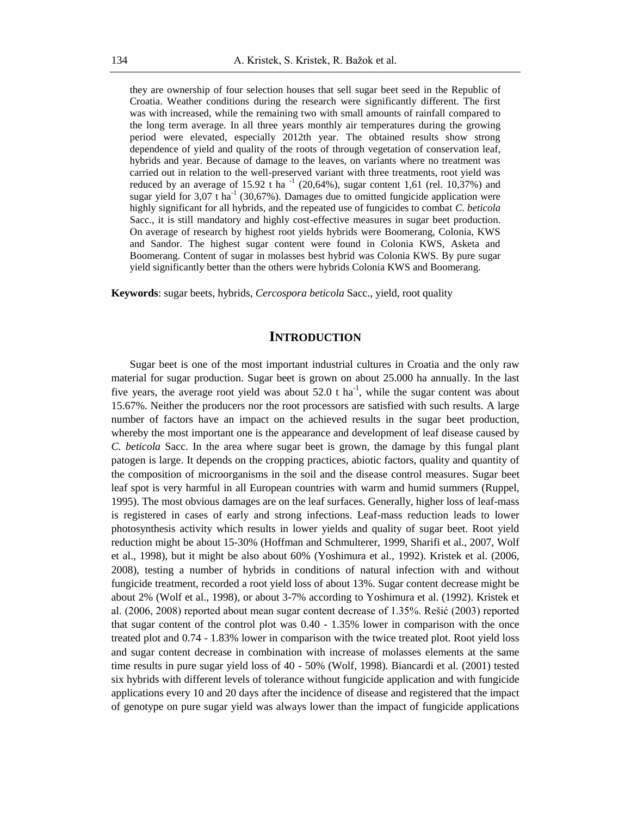they are ownership of four selection houses that sell sugar beet seed in the Republic of Croatia. Weather conditions during the research were significantly different. The first was with increased, while the remaining two with small amounts of rainfall compared to the long term average. In all three years monthly air temperatures during the growing period were elevated, especially 2012th year. The obtained results show strong dependence of yield and quality of the roots of through vegetation of conservation leaf, hybrids and year. Because of damage to the leaves, on variants where no treatment was carried out in relation to the well-preserved variant with three treatments, root yield was reduced by an average of 15.92 t ha<sup>-1</sup> (20,64%), sugar content 1,61 (rel. 10,37%) and sugar yield for  $3.07$  t ha<sup>-1</sup> (30,67%). Damages due to omitted fungicide application were highly significant for all hybrids, and the repeated use of fungicides to combat *C. beticola* Sacc., it is still mandatory and highly cost-effective measures in sugar beet production. On average of research by highest root yields hybrids were Boomerang, Colonia, KWS and Sandor. The highest sugar content were found in Colonia KWS, Asketa and Boomerang. Content of sugar in molasses best hybrid was Colonia KWS. By pure sugar yield significantly better than the others were hybrids Colonia KWS and Boomerang.

**Keywords**: sugar beets, hybrids*, Cercospora beticola* Sacc., yield, root quality

### **INTRODUCTION**

Sugar beet is one of the most important industrial cultures in Croatia and the only raw material for sugar production. Sugar beet is grown on about 25.000 ha annually. In the last five years, the average root yield was about  $52.0$  t ha<sup>-1</sup>, while the sugar content was about 15.67%. Neither the producers nor the root processors are satisfied with such results. A large number of factors have an impact on the achieved results in the sugar beet production, whereby the most important one is the appearance and development of leaf disease caused by *C. beticola* Sacc. In the area where sugar beet is grown, the damage by this fungal plant patogen is large. It depends on the cropping practices, abiotic factors, quality and quantity of the composition of microorganisms in the soil and the disease control measures. Sugar beet leaf spot is very harmful in all European countries with warm and humid summers (Ruppel, 1995). The most obvious damages are on the leaf surfaces. Generally, higher loss of leaf-mass is registered in cases of early and strong infections. Leaf-mass reduction leads to lower photosynthesis activity which results in lower yields and quality of sugar beet. Root yield reduction might be about 15-30% (Hoffman and Schmulterer, 1999, Sharifi et al., 2007, Wolf et al., 1998), but it might be also about 60% (Yoshimura et al., 1992). Kristek et al. (2006, 2008), testing a number of hybrids in conditions of natural infection with and without fungicide treatment, recorded a root yield loss of about 13%. Sugar content decrease might be about 2% (Wolf et al., 1998), or about 3-7% according to Yoshimura et al. (1992). Kristek et al. (2006, 2008) reported about mean sugar content decrease of 1.35%. Rešić (2003) reported that sugar content of the control plot was 0.40 - 1.35% lower in comparison with the once treated plot and 0.74 - 1.83% lower in comparison with the twice treated plot. Root yield loss and sugar content decrease in combination with increase of molasses elements at the same time results in pure sugar yield loss of 40 - 50% (Wolf, 1998). Biancardi et al. (2001) tested six hybrids with different levels of tolerance without fungicide application and with fungicide applications every 10 and 20 days after the incidence of disease and registered that the impact of genotype on pure sugar yield was always lower than the impact of fungicide applications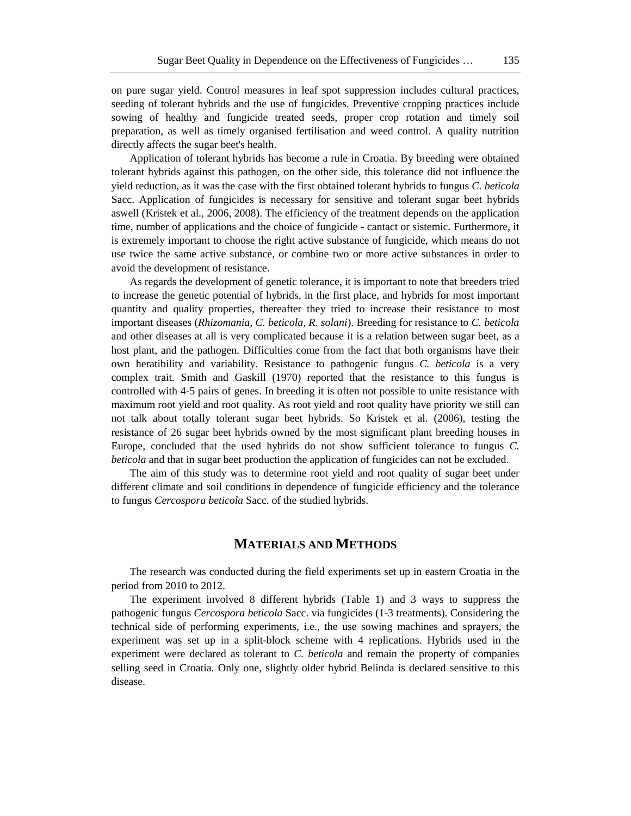on pure sugar yield. Control measures in leaf spot suppression includes cultural practices, seeding of tolerant hybrids and the use of fungicides. Preventive cropping practices include sowing of healthy and fungicide treated seeds, proper crop rotation and timely soil preparation, as well as timely organised fertilisation and weed control. A quality nutrition directly affects the sugar beet's health.

Application of tolerant hybrids has become a rule in Croatia. By breeding were obtained tolerant hybrids against this pathogen, on the other side, this tolerance did not influence the yield reduction, as it was the case with the first obtained tolerant hybrids to fungus *C. beticola* Sacc. Application of fungicides is necessary for sensitive and tolerant sugar beet hybrids aswell (Kristek et al., 2006, 2008). The efficiency of the treatment depends on the application time, number of applications and the choice of fungicide - cantact or sistemic. Furthermore, it is extremely important to choose the right active substance of fungicide, which means do not use twice the same active substance, or combine two or more active substances in order to avoid the development of resistance.

As regards the development of genetic tolerance, it is important to note that breeders tried to increase the genetic potential of hybrids, in the first place, and hybrids for most important quantity and quality properties, thereafter they tried to increase their resistance to most important diseases (*Rhizomania, C. beticola, R. solani*). Breeding for resistance to *C. beticola* and other diseases at all is very complicated because it is a relation between sugar beet, as a host plant, and the pathogen. Difficulties come from the fact that both organisms have their own heratibility and variability. Resistance to pathogenic fungus *C. beticola* is a very complex trait. Smith and Gaskill (1970) reported that the resistance to this fungus is controlled with 4-5 pairs of genes. In breeding it is often not possible to unite resistance with maximum root yield and root quality. As root yield and root quality have priority we still can not talk about totally tolerant sugar beet hybrids. So Kristek et al. (2006), testing the resistance of 26 sugar beet hybrids owned by the most significant plant breeding houses in Europe, concluded that the used hybrids do not show sufficient tolerance to fungus *C. beticola* and that in sugar beet production the application of fungicides can not be excluded.

The aim of this study was to determine root yield and root quality of sugar beet under different climate and soil conditions in dependence of fungicide efficiency and the tolerance to fungus *Cercospora beticola* Sacc. of the studied hybrids.

# **MATERIALS AND METHODS**

The research was conducted during the field experiments set up in eastern Croatia in the period from 2010 to 2012.

The experiment involved 8 different hybrids (Table 1) and 3 ways to suppress the pathogenic fungus *Cercospora beticola* Sacc. via fungicides (1-3 treatments). Considering the technical side of performing experiments, i.e., the use sowing machines and sprayers, the experiment was set up in a split-block scheme with 4 replications. Hybrids used in the experiment were declared as tolerant to *C. beticola* and remain the property of companies selling seed in Croatia. Only one, slightly older hybrid Belinda is declared sensitive to this disease.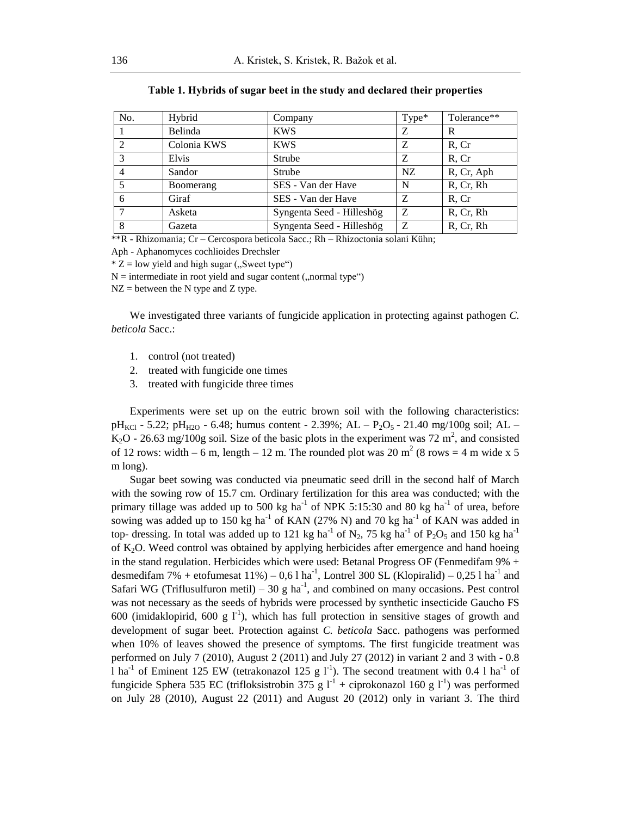| No.                      | Hybrid      | Company                   | Type*       | Tolerance** |
|--------------------------|-------------|---------------------------|-------------|-------------|
|                          | Belinda     | <b>KWS</b>                | Z           | R           |
|                          | Colonia KWS | <b>KWS</b>                | Z           | R, Cr       |
|                          | Elvis       | Strube                    | Z           | R, Cr       |
|                          | Sandor      | Strube                    | NZ          | R, Cr, Aph  |
| $\overline{\phantom{0}}$ | Boomerang   | SES - Van der Have        | $\mathbf N$ | R, Cr, Rh   |
| 6                        | Giraf       | SES - Van der Have        | Z           | R, Cr       |
|                          | Asketa      | Syngenta Seed - Hilleshög | Z           | R, Cr, Rh   |
| 8                        | Gazeta      | Syngenta Seed - Hilleshög | Z           | R, Cr, Rh   |

**Table 1. Hybrids of sugar beet in the study and declared their properties**

\*\*R - Rhizomania; Cr – Cercospora beticola Sacc.; Rh – Rhizoctonia solani Kühn;

Aph - Aphanomyces cochlioides Drechsler

 $* Z =$  low yield and high sugar ( $\Omega$ Sweet type")

 $N =$  intermediate in root yield and sugar content  $($ , normal type" $)$ 

 $NZ =$  between the N type and Z type.

We investigated three variants of fungicide application in protecting against pathogen *C. beticola* Sacc.:

- 1. control (not treated)
- 2. treated with fungicide one times
- 3. treated with fungicide three times

Experiments were set up on the eutric brown soil with the following characteristics: pH<sub>KCl</sub> - 5.22; pH<sub>H2O</sub> - 6.48; humus content - 2.39%; AL – P<sub>2</sub>O<sub>5</sub> - 21.40 mg/100g soil; AL –  $K_2O$  - 26.63 mg/100g soil. Size of the basic plots in the experiment was 72 m<sup>2</sup>, and consisted of 12 rows: width – 6 m, length – 12 m. The rounded plot was 20 m<sup>2</sup> (8 rows = 4 m wide x 5 m long).

Sugar beet sowing was conducted via pneumatic seed drill in the second half of March with the sowing row of 15.7 cm. Ordinary fertilization for this area was conducted; with the primary tillage was added up to 500 kg ha<sup>-1</sup> of NPK 5:15:30 and 80 kg ha<sup>-1</sup> of urea, before sowing was added up to 150 kg ha<sup>-1</sup> of KAN (27% N) and 70 kg ha<sup>-1</sup> of KAN was added in top- dressing. In total was added up to 121 kg ha<sup>-1</sup> of N<sub>2</sub>, 75 kg ha<sup>-1</sup> of P<sub>2</sub>O<sub>5</sub> and 150 kg ha<sup>-1</sup> of K2O. Weed control was obtained by applying herbicides after emergence and hand hoeing in the stand regulation. Herbicides which were used: Betanal Progress OF (Fenmedifam  $9\%$  + desmedifam 7% + etofumesat  $11\%$ ) – 0,6 l ha<sup>-1</sup>, Lontrel 300 SL (Klopiralid) – 0,25 l ha<sup>-1</sup> and Safari WG (Triflusulfuron metil) – 30 g ha<sup>-1</sup>, and combined on many occasions. Pest control was not necessary as the seeds of hybrids were processed by synthetic insecticide Gaucho FS 600 (imidaklopirid, 600 g  $1^{-1}$ ), which has full protection in sensitive stages of growth and development of sugar beet. Protection against *C. beticola* Sacc. pathogens was performed when 10% of leaves showed the presence of symptoms. The first fungicide treatment was performed on July 7 (2010), August 2 (2011) and July 27 (2012) in variant 2 and 3 with - 0.8 l ha<sup>-1</sup> of Eminent 125 EW (tetrakonazol 125 g l<sup>-1</sup>). The second treatment with 0.4 l ha<sup>-1</sup> of fungicide Sphera 535 EC (trifloksistrobin 375 g  $l^{-1}$  + ciprokonazol 160 g  $l^{-1}$ ) was performed on July 28 (2010), August 22 (2011) and August 20 (2012) only in variant 3. The third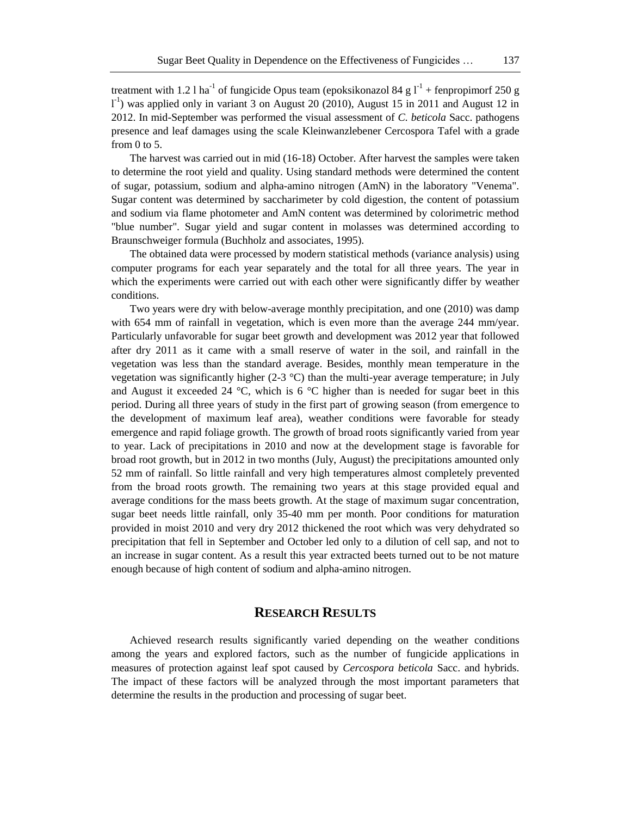treatment with 1.2 l ha<sup>-1</sup> of fungicide Opus team (epoksikonazol 84 g  $l^{-1}$  + fenpropimorf 250 g  $1<sup>1</sup>$ ) was applied only in variant 3 on August 20 (2010), August 15 in 2011 and August 12 in 2012. In mid-September was performed the visual assessment of *C. beticola* Sacc. pathogens presence and leaf damages using the scale Kleinwanzlebener Cercospora Tafel with a grade from 0 to 5.

The harvest was carried out in mid (16-18) October. After harvest the samples were taken to determine the root yield and quality. Using standard methods were determined the content of sugar, potassium, sodium and alpha-amino nitrogen (AmN) in the laboratory "Venema". Sugar content was determined by saccharimeter by cold digestion, the content of potassium and sodium via flame photometer and AmN content was determined by colorimetric method "blue number". Sugar yield and sugar content in molasses was determined according to Braunschweiger formula (Buchholz and associates, 1995).

The obtained data were processed by modern statistical methods (variance analysis) using computer programs for each year separately and the total for all three years. The year in which the experiments were carried out with each other were significantly differ by weather conditions.

Two years were dry with below-average monthly precipitation, and one (2010) was damp with 654 mm of rainfall in vegetation, which is even more than the average 244 mm/year. Particularly unfavorable for sugar beet growth and development was 2012 year that followed after dry 2011 as it came with a small reserve of water in the soil, and rainfall in the vegetation was less than the standard average. Besides, monthly mean temperature in the vegetation was significantly higher (2-3  $^{\circ}$ C) than the multi-year average temperature; in July and August it exceeded 24  $\degree$ C, which is 6  $\degree$ C higher than is needed for sugar beet in this period. During all three years of study in the first part of growing season (from emergence to the development of maximum leaf area), weather conditions were favorable for steady emergence and rapid foliage growth. The growth of broad roots significantly varied from year to year. Lack of precipitations in 2010 and now at the development stage is favorable for broad root growth, but in 2012 in two months (July, August) the precipitations amounted only 52 mm of rainfall. So little rainfall and very high temperatures almost completely prevented from the broad roots growth. The remaining two years at this stage provided equal and average conditions for the mass beets growth. At the stage of maximum sugar concentration, sugar beet needs little rainfall, only 35-40 mm per month. Poor conditions for maturation provided in moist 2010 and very dry 2012 thickened the root which was very dehydrated so precipitation that fell in September and October led only to a dilution of cell sap, and not to an increase in sugar content. As a result this year extracted beets turned out to be not mature enough because of high content of sodium and alpha-amino nitrogen.

# **RESEARCH RESULTS**

Achieved research results significantly varied depending on the weather conditions among the years and explored factors, such as the number of fungicide applications in measures of protection against leaf spot caused by *Cercospora beticola* Sacc. and hybrids. The impact of these factors will be analyzed through the most important parameters that determine the results in the production and processing of sugar beet.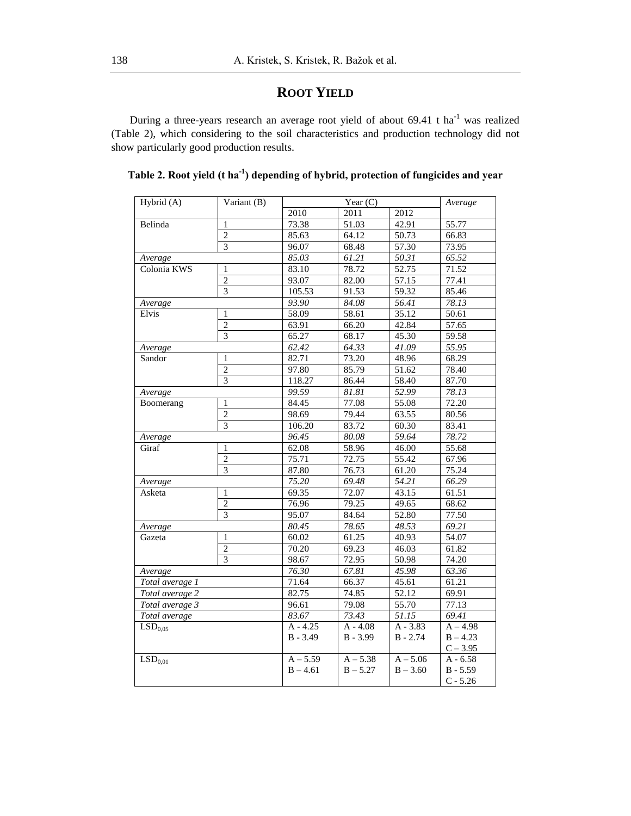# **ROOT YIELD**

During a three-years research an average root yield of about  $69.41$  t ha<sup>-1</sup> was realized (Table 2), which considering to the soil characteristics and production technology did not show particularly good production results.

**Table 2. Root yield (t ha-1 ) depending of hybrid, protection of fungicides and year**

| Hybrid (A)          | Variant (B)    | Year $(C)$ |            |            | Average    |  |
|---------------------|----------------|------------|------------|------------|------------|--|
|                     |                | 2010       | 2011       | 2012       |            |  |
| Belinda             | $\mathbf{1}$   | 73.38      | 51.03      | 42.91      | 55.77      |  |
|                     | $\overline{c}$ | 85.63      | 64.12      | 50.73      | 66.83      |  |
|                     | $\overline{3}$ | 96.07      | 68.48      | 57.30      | 73.95      |  |
| Average             |                | 85.03      | 61.21      | 50.31      | 65.52      |  |
| Colonia KWS         | 1              | 83.10      | 78.72      | 52.75      | 71.52      |  |
|                     | $\overline{2}$ | 93.07      | 82.00      | 57.15      | 77.41      |  |
|                     | $\overline{3}$ | 105.53     | 91.53      | 59.32      | 85.46      |  |
| Average             |                | 93.90      | 84.08      | 56.41      | 78.13      |  |
| Elvis               | 1              | 58.09      | 58.61      | 35.12      | 50.61      |  |
|                     | $\mathfrak{D}$ | 63.91      | 66.20      | 42.84      | 57.65      |  |
|                     | $\overline{3}$ | 65.27      | 68.17      | 45.30      | 59.58      |  |
| Average             |                | 62.42      | 64.33      | 41.09      | 55.95      |  |
| Sandor              | $\mathbf{1}$   | 82.71      | 73.20      | 48.96      | 68.29      |  |
|                     | $\overline{2}$ | 97.80      | 85.79      | 51.62      | 78.40      |  |
|                     | $\overline{3}$ | 118.27     | 86.44      | 58.40      | 87.70      |  |
| Average             |                | 99.59      | 81.81      | 52.99      | 78.13      |  |
| Boomerang           | 1              | 84.45      | 77.08      | 55.08      | 72.20      |  |
|                     | $\overline{2}$ | 98.69      | 79.44      | 63.55      | 80.56      |  |
|                     | 3              | 106.20     | 83.72      | 60.30      | 83.41      |  |
| Average             |                | 96.45      | 80.08      | 59.64      | 78.72      |  |
| Giraf               | 1              | 62.08      | 58.96      | 46.00      | 55.68      |  |
|                     | $\overline{2}$ | 75.71      | 72.75      | 55.42      | 67.96      |  |
|                     | $\overline{3}$ | 87.80      | 76.73      | 61.20      | 75.24      |  |
| Average             |                | 75.20      | 69.48      | 54.21      | 66.29      |  |
| Asketa              | 1              | 69.35      | 72.07      | 43.15      | 61.51      |  |
|                     | $\overline{2}$ | 76.96      | 79.25      | 49.65      | 68.62      |  |
|                     | $\overline{3}$ | 95.07      | 84.64      | 52.80      | 77.50      |  |
| Average             |                | 80.45      | 78.65      | 48.53      | 69.21      |  |
| Gazeta              | 1              | 60.02      | 61.25      | 40.93      | 54.07      |  |
|                     | $\overline{2}$ | 70.20      | 69.23      | 46.03      | 61.82      |  |
|                     | $\overline{3}$ | 98.67      | 72.95      | 50.98      | 74.20      |  |
| Average             |                | 76.30      | 67.81      | 45.98      | 63.36      |  |
| Total average 1     |                | 71.64      | 66.37      | 45.61      | 61.21      |  |
| Total average 2     |                | 82.75      | 74.85      | 52.12      | 69.91      |  |
| Total average 3     |                | 96.61      | 79.08      | 55.70      | 77.13      |  |
| Total average       |                | 83.67      | 73.43      | 51.15      | 69.41      |  |
| LSD <sub>0.05</sub> |                | $A - 4.25$ | $A - 4.08$ | $A - 3.83$ | $A - 4.98$ |  |
|                     |                | $B - 3.49$ | $B - 3.99$ | $B - 2.74$ | $B - 4.23$ |  |
|                     |                |            |            |            | $C - 3.95$ |  |
| LSD <sub>0,01</sub> |                | $A - 5.59$ | $A - 5.38$ | $A - 5.06$ | $A - 6.58$ |  |
|                     |                | $B - 4.61$ | $B - 5.27$ | $B - 3.60$ | $B - 5.59$ |  |
|                     |                |            |            |            | $C - 5.26$ |  |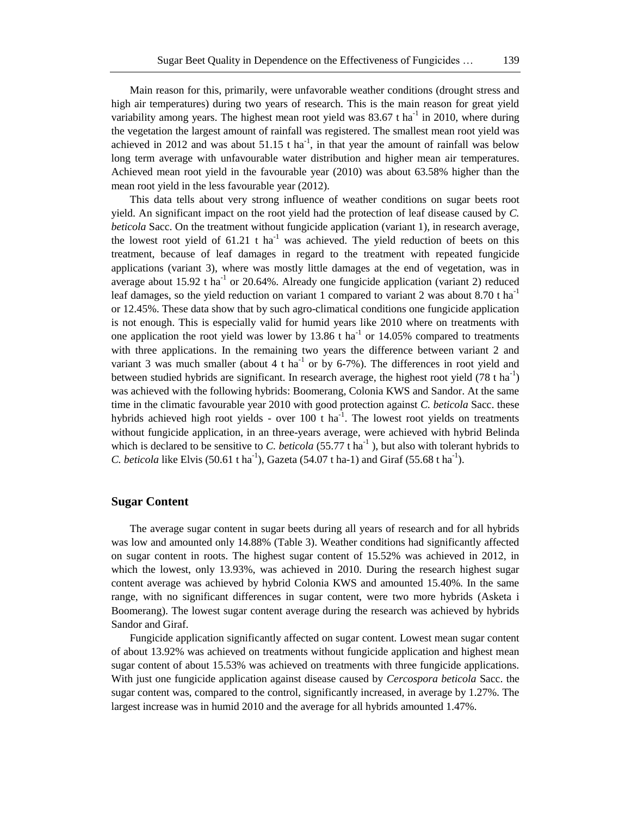Main reason for this, primarily, were unfavorable weather conditions (drought stress and high air temperatures) during two years of research. This is the main reason for great yield variability among years. The highest mean root yield was  $83.67$  t ha<sup>-1</sup> in 2010, where during the vegetation the largest amount of rainfall was registered. The smallest mean root yield was achieved in 2012 and was about  $51.15$  t ha<sup>-1</sup>, in that year the amount of rainfall was below long term average with unfavourable water distribution and higher mean air temperatures. Achieved mean root yield in the favourable year (2010) was about 63.58% higher than the mean root yield in the less favourable year (2012).

This data tells about very strong influence of weather conditions on sugar beets root yield. An significant impact on the root yield had the protection of leaf disease caused by *C. beticola* Sacc. On the treatment without fungicide application (variant 1), in research average, the lowest root yield of  $61.21$  t ha<sup>-1</sup> was achieved. The yield reduction of beets on this treatment, because of leaf damages in regard to the treatment with repeated fungicide applications (variant 3), where was mostly little damages at the end of vegetation, was in average about 15.92 t ha<sup>-1</sup> or 20.64%. Already one fungicide application (variant 2) reduced leaf damages, so the yield reduction on variant 1 compared to variant 2 was about 8.70 t ha<sup>-1</sup> or 12.45%. These data show that by such agro-climatical conditions one fungicide application is not enough. This is especially valid for humid years like 2010 where on treatments with one application the root yield was lower by 13.86 t ha<sup>-1</sup> or 14.05% compared to treatments with three applications. In the remaining two years the difference between variant 2 and variant 3 was much smaller (about 4 t ha<sup>-1</sup> or by 6-7%). The differences in root yield and between studied hybrids are significant. In research average, the highest root yield  $(78 \text{ t ha}^{-1})$ was achieved with the following hybrids: Boomerang, Colonia KWS and Sandor. At the same time in the climatic favourable year 2010 with good protection against *C. beticola* Sacc. these hybrids achieved high root yields - over 100 t ha<sup>-1</sup>. The lowest root yields on treatments without fungicide application, in an three-years average, were achieved with hybrid Belinda which is declared to be sensitive to *C. beticola* (55.77 t ha<sup>-1</sup>), but also with tolerant hybrids to *C. beticola* like Elvis (50.61 t ha<sup>-1</sup>), Gazeta (54.07 t ha-1) and Giraf (55.68 t ha<sup>-1</sup>).

#### **Sugar Content**

The average sugar content in sugar beets during all years of research and for all hybrids was low and amounted only 14.88% (Table 3). Weather conditions had significantly affected on sugar content in roots. The highest sugar content of 15.52% was achieved in 2012, in which the lowest, only 13.93%, was achieved in 2010. During the research highest sugar content average was achieved by hybrid Colonia KWS and amounted 15.40%. In the same range, with no significant differences in sugar content, were two more hybrids (Asketa i Boomerang). The lowest sugar content average during the research was achieved by hybrids Sandor and Giraf.

Fungicide application significantly affected on sugar content. Lowest mean sugar content of about 13.92% was achieved on treatments without fungicide application and highest mean sugar content of about 15.53% was achieved on treatments with three fungicide applications. With just one fungicide application against disease caused by *Cercospora beticola* Sacc. the sugar content was, compared to the control, significantly increased, in average by 1.27%. The largest increase was in humid 2010 and the average for all hybrids amounted 1.47%.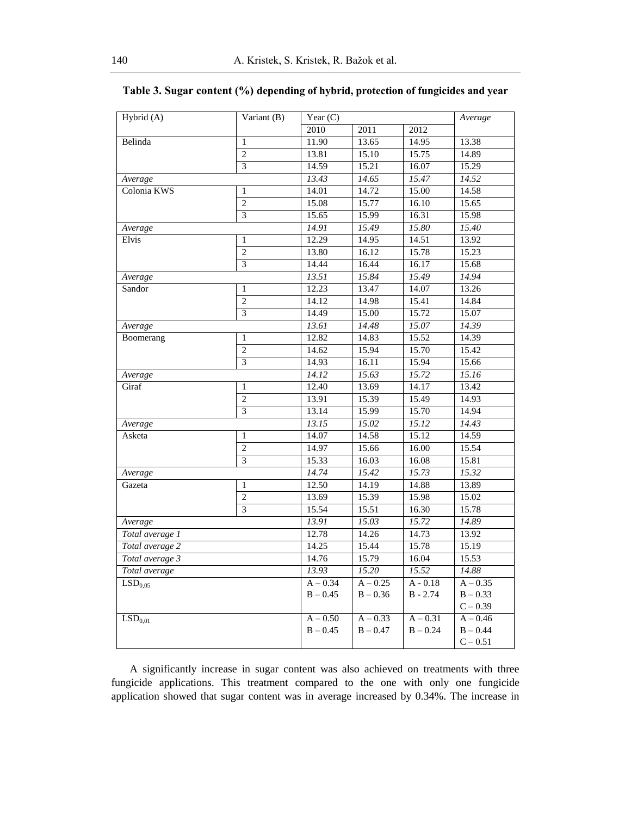| Hybrid (A)                     | Variant (B)             | Year $(C)$ | Average    |            |            |
|--------------------------------|-------------------------|------------|------------|------------|------------|
|                                |                         | 2010       | 2011       | 2012       |            |
| Belinda                        | 1                       | 11.90      | 13.65      | 14.95      | 13.38      |
|                                | $\overline{2}$          | 13.81      | 15.10      | 15.75      | 14.89      |
|                                | $\overline{3}$          | 14.59      | 15.21      | 16.07      | 15.29      |
| Average                        |                         | 13.43      | 14.65      | 15.47      | 14.52      |
| Colonia KWS                    | 1                       | 14.01      | 14.72      | 15.00      | 14.58      |
|                                | $\overline{2}$          | 15.08      | 15.77      | 16.10      | 15.65      |
|                                | $\overline{3}$          | 15.65      | 15.99      | 16.31      | 15.98      |
| Average                        |                         | 14.91      | 15.49      | 15.80      | 15.40      |
| Elvis                          | 1                       | 12.29      | 14.95      | 14.51      | 13.92      |
|                                | $\overline{2}$          | 13.80      | 16.12      | 15.78      | 15.23      |
|                                | $\overline{3}$          | 14.44      | 16.44      | 16.17      | 15.68      |
| Average                        |                         | 13.51      | 15.84      | 15.49      | 14.94      |
| Sandor                         | $\mathbf{1}$            | 12.23      | 13.47      | 14.07      | 13.26      |
|                                | $\overline{c}$          | 14.12      | 14.98      | 15.41      | 14.84      |
|                                | $\overline{3}$          | 14.49      | 15.00      | 15.72      | 15.07      |
| Average                        |                         | 13.61      | 14.48      | 15.07      | 14.39      |
| Boomerang                      | $\mathbf{1}$            | 12.82      | 14.83      | 15.52      | 14.39      |
|                                | $\overline{c}$          | 14.62      | 15.94      | 15.70      | 15.42      |
|                                | $\overline{3}$          | 14.93      | 16.11      | 15.94      | 15.66      |
| Average                        |                         | 14.12      | 15.63      | 15.72      | 15.16      |
| Giraf                          | $\mathbf{1}$            | 12.40      | 13.69      | 14.17      | 13.42      |
|                                | $\overline{2}$          | 13.91      | 15.39      | 15.49      | 14.93      |
|                                | $\overline{3}$          | 13.14      | 15.99      | 15.70      | 14.94      |
| Average                        |                         | 13.15      | 15.02      | 15.12      | 14.43      |
| Asketa                         | $\mathbf{1}$            | 14.07      | 14.58      | 15.12      | 14.59      |
|                                | $\overline{2}$          | 14.97      | 15.66      | 16.00      | 15.54      |
|                                | $\overline{\mathbf{3}}$ | 15.33      | 16.03      | 16.08      | 15.81      |
| Average                        |                         | 14.74      | 15.42      | 15.73      | 15.32      |
| Gazeta                         | $\mathbf{1}$            | 12.50      | 14.19      | 14.88      | 13.89      |
|                                | $\overline{2}$          | 13.69      | 15.39      | 15.98      | 15.02      |
|                                | $\overline{3}$          | 15.54      | 15.51      | 16.30      | 15.78      |
| Average                        |                         | 13.91      | 15.03      | 15.72      | 14.89      |
| Total average 1                |                         | 12.78      | 14.26      | 14.73      | 13.92      |
| Total average 2                |                         | 14.25      | 15.44      | 15.78      | 15.19      |
| Total average 3                |                         | 14.76      | 15.79      | 16.04      | 15.53      |
| Total average                  |                         | 13.93      | 15.20      | 15.52      | 14.88      |
| LSD <sub>0.05</sub>            |                         | $A - 0.34$ | $A - 0.25$ | $A - 0.18$ | $A - 0.35$ |
|                                |                         | $B - 0.45$ | $B - 0.36$ | $B - 2.74$ | $B - 0.33$ |
|                                |                         |            |            |            | $C - 0.39$ |
| $\overline{\text{LSD}}_{0,01}$ |                         |            | $A - 0.33$ | $A - 0.31$ | $A - 0.46$ |
|                                | $B - 0.45$              | $B - 0.47$ | $B - 0.24$ | $B - 0.44$ |            |
|                                |                         |            |            | $C - 0.51$ |            |

**Table 3. Sugar content (%) depending of hybrid, protection of fungicides and year**

A significantly increase in sugar content was also achieved on treatments with three fungicide applications. This treatment compared to the one with only one fungicide application showed that sugar content was in average increased by 0.34%. The increase in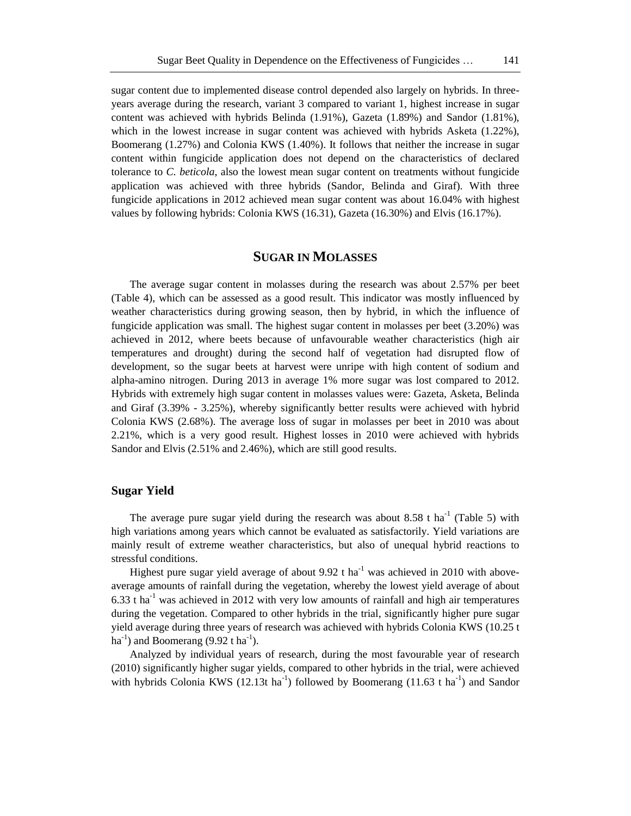sugar content due to implemented disease control depended also largely on hybrids. In threeyears average during the research, variant 3 compared to variant 1, highest increase in sugar content was achieved with hybrids Belinda (1.91%), Gazeta (1.89%) and Sandor (1.81%), which in the lowest increase in sugar content was achieved with hybrids Asketa (1.22%), Boomerang (1.27%) and Colonia KWS (1.40%). It follows that neither the increase in sugar content within fungicide application does not depend on the characteristics of declared tolerance to *C. beticola*, also the lowest mean sugar content on treatments without fungicide application was achieved with three hybrids (Sandor, Belinda and Giraf). With three fungicide applications in 2012 achieved mean sugar content was about 16.04% with highest values by following hybrids: Colonia KWS (16.31), Gazeta (16.30%) and Elvis (16.17%).

## **SUGAR IN MOLASSES**

The average sugar content in molasses during the research was about 2.57% per beet (Table 4), which can be assessed as a good result. This indicator was mostly influenced by weather characteristics during growing season, then by hybrid, in which the influence of fungicide application was small. The highest sugar content in molasses per beet (3.20%) was achieved in 2012, where beets because of unfavourable weather characteristics (high air temperatures and drought) during the second half of vegetation had disrupted flow of development, so the sugar beets at harvest were unripe with high content of sodium and alpha-amino nitrogen. During 2013 in average 1% more sugar was lost compared to 2012. Hybrids with extremely high sugar content in molasses values were: Gazeta, Asketa, Belinda and Giraf (3.39% - 3.25%), whereby significantly better results were achieved with hybrid Colonia KWS (2.68%). The average loss of sugar in molasses per beet in 2010 was about 2.21%, which is a very good result. Highest losses in 2010 were achieved with hybrids Sandor and Elvis (2.51% and 2.46%), which are still good results.

#### **Sugar Yield**

The average pure sugar yield during the research was about 8.58 t ha<sup>-1</sup> (Table 5) with high variations among years which cannot be evaluated as satisfactorily. Yield variations are mainly result of extreme weather characteristics, but also of unequal hybrid reactions to stressful conditions.

Highest pure sugar yield average of about 9.92 t ha<sup>-1</sup> was achieved in 2010 with aboveaverage amounts of rainfall during the vegetation, whereby the lowest yield average of about 6.33 t ha<sup>-1</sup> was achieved in 2012 with very low amounts of rainfall and high air temperatures during the vegetation. Compared to other hybrids in the trial, significantly higher pure sugar yield average during three years of research was achieved with hybrids Colonia KWS (10.25 t  $\text{ha}^{-1}$ ) and Boomerang (9.92 t ha<sup>-1</sup>).

Analyzed by individual years of research, during the most favourable year of research (2010) significantly higher sugar yields, compared to other hybrids in the trial, were achieved with hybrids Colonia KWS (12.13t ha<sup>-1</sup>) followed by Boomerang (11.63 t ha<sup>-1</sup>) and Sandor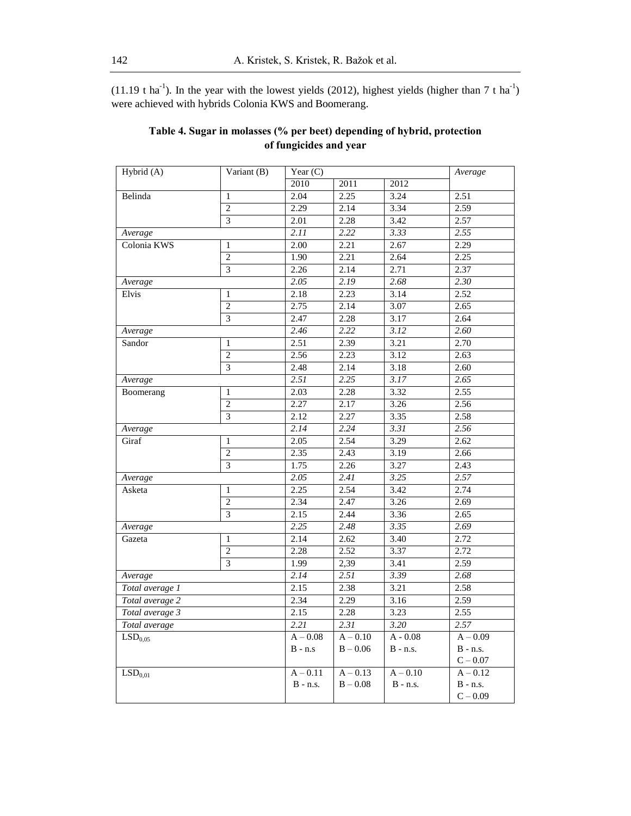$(11.19 \text{ t} \text{ ha}^{-1})$ . In the year with the lowest yields  $(2012)$ , highest yields (higher than 7 t ha<sup>-1</sup>) were achieved with hybrids Colonia KWS and Boomerang.

| Hybrid (A)          | Variant $(B)$  | Year $(C)$ |              |            | Average    |  |
|---------------------|----------------|------------|--------------|------------|------------|--|
|                     |                | 2010       | 2011         | 2012       |            |  |
| Belinda             | $\mathbf{1}$   | 2.04       | 2.25         | 3.24       | 2.51       |  |
|                     | $\overline{2}$ | 2.29       | 2.14         | 3.34       | 2.59       |  |
|                     | 3              | 2.01       | 2.28         | 3.42       | 2.57       |  |
| Average             |                | 2.11       | 2.22         | 3.33       | 2.55       |  |
| Colonia KWS         | $\mathbf{1}$   | 2.00       | 2.21         | 2.67       | 2.29       |  |
|                     | $\overline{2}$ | 1.90       | 2.21         | 2.64       | 2.25       |  |
|                     | $\overline{3}$ | 2.26       | 2.14         | 2.71       | 2.37       |  |
| Average             |                | 2.05       | 2.19         | 2.68       | 2.30       |  |
| Elvis               | 1              | 2.18       | 2.23         | 3.14       | 2.52       |  |
|                     | $\overline{2}$ | 2.75       | 2.14         | 3.07       | 2.65       |  |
|                     | 3              | 2.47       | 2.28         | 3.17       | 2.64       |  |
| Average             |                | 2.46       | 2.22         | 3.12       | 2.60       |  |
| Sandor              | $\mathbf{1}$   | 2.51       | 2.39         | 3.21       | 2.70       |  |
|                     | $\overline{2}$ | 2.56       | 2.23         | 3.12       | 2.63       |  |
|                     | 3              | 2.48       | 2.14         | 3.18       | 2.60       |  |
| Average             |                | 2.51       | 2.25         | 3.17       | 2.65       |  |
| Boomerang           | 1              | 2.03       | 2.28         | 3.32       | 2.55       |  |
|                     | $\overline{2}$ | 2.27       | 2.17         | 3.26       | 2.56       |  |
|                     | 3              | 2.12       | 2.27         | 3.35       | 2.58       |  |
| Average             |                | 2.14       | 2.24         | 3.31       | 2.56       |  |
| Giraf               | $\mathbf{1}$   | 2.05       | 2.54         | 3.29       | 2.62       |  |
|                     | $\mathbf{2}$   | 2.35       | 2.43         | 3.19       | 2.66       |  |
|                     | $\overline{3}$ | 1.75       | 2.26         | 3.27       | 2.43       |  |
| Average             |                | 2.05       | 2.41         | 3.25       | 2.57       |  |
| Asketa              | 1              | 2.25       | 2.54         | 3.42       | 2.74       |  |
|                     | $\overline{2}$ | 2.34       | 2.47         | 3.26       | 2.69       |  |
|                     | 3              | 2.15       | 2.44         | 3.36       | 2.65       |  |
| Average             |                | 2.25       | 2.48         | 3.35       | 2.69       |  |
| Gazeta              | 1              | 2.14       | 2.62         | 3.40       | 2.72       |  |
|                     | $\overline{2}$ | 2.28       | 2.52         | 3.37       | 2.72       |  |
|                     | $\overline{3}$ | 1.99       | 2,39         | 3.41       | 2.59       |  |
| Average             |                | 2.14       | 2.51         | 3.39       | 2.68       |  |
| Total average 1     |                | 2.15       | 2.38         | 3.21       | 2.58       |  |
| Total average 2     |                | 2.34       | 2.29         | 3.16       | 2.59       |  |
| Total average 3     |                | 2.15       | 2.28         | 3.23       | 2.55       |  |
| Total average       |                | 2.21       | 2.31         | 3.20       | 2.57       |  |
| LSD <sub>0.05</sub> |                | $A - 0.08$ | $A - 0.10$   | $A - 0.08$ | $A - 0.09$ |  |
|                     |                | $B - n.s$  | $B - 0.06$   | B - n.s.   | $B - n.s.$ |  |
|                     |                |            |              |            | $C - 0.07$ |  |
| LSD <sub>0.01</sub> |                | $A - 0.11$ | $A - 0.13$   | $A - 0.10$ | $A - 0.12$ |  |
|                     |                | $B - n.s.$ | $\rm B-0.08$ | $B - n.s.$ | B - n.s.   |  |
|                     |                |            |              |            | $C - 0.09$ |  |

# **Table 4. Sugar in molasses (% per beet) depending of hybrid, protection of fungicides and year**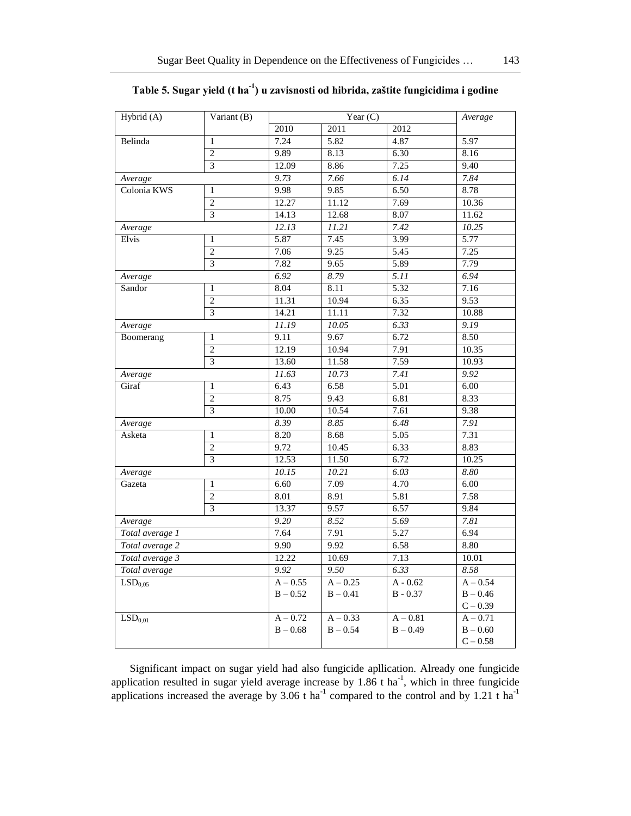| Hybrid $(A)$                   | Variant (B)             |            | Year $(C)$ |            |            |  |
|--------------------------------|-------------------------|------------|------------|------------|------------|--|
|                                |                         | 2010       | 2011       | 2012       |            |  |
| Belinda                        | $\mathbf{1}$            | 7.24       | 5.82       | 4.87       | 5.97       |  |
|                                | $\overline{2}$          | 9.89       | 8.13       | 6.30       | 8.16       |  |
|                                | $\overline{3}$          | 12.09      | 8.86       | 7.25       | 9.40       |  |
| Average                        |                         | 9.73       | 7.66       | 6.14       | 7.84       |  |
| Colonia KWS                    | $\mathbf{1}$            | 9.98       | 9.85       | 6.50       | 8.78       |  |
|                                | $\overline{2}$          | 12.27      | 11.12      | 7.69       | 10.36      |  |
|                                | $\overline{3}$          | 14.13      | 12.68      | 8.07       | 11.62      |  |
| Average                        |                         | 12.13      | 11.21      | 7.42       | 10.25      |  |
| Elvis                          | $\mathbf{1}$            | 5.87       | 7.45       | 3.99       | 5.77       |  |
|                                | $\overline{2}$          | 7.06       | 9.25       | 5.45       | 7.25       |  |
|                                | 3                       | 7.82       | 9.65       | 5.89       | 7.79       |  |
| Average                        |                         | 6.92       | 8.79       | 5.11       | 6.94       |  |
| Sandor                         | $\mathbf{1}$            | 8.04       | 8.11       | 5.32       | 7.16       |  |
|                                | $\overline{2}$          | 11.31      | 10.94      | 6.35       | 9.53       |  |
|                                | $\overline{3}$          | 14.21      | 11.11      | 7.32       | 10.88      |  |
| Average                        |                         | 11.19      | 10.05      | 6.33       | 9.19       |  |
| Boomerang                      | $\mathbf{1}$            | 9.11       | 9.67       | 6.72       | 8.50       |  |
|                                | $\overline{2}$          | 12.19      | 10.94      | 7.91       | 10.35      |  |
|                                | $\overline{3}$          | 13.60      | 11.58      | 7.59       | 10.93      |  |
| Average                        |                         | 11.63      | 10.73      | 7.41       | 9.92       |  |
| Giraf                          | $\mathbf{1}$            | 6.43       | 6.58       | 5.01       | 6.00       |  |
|                                | $\overline{2}$          | 8.75       | 9.43       | 6.81       | 8.33       |  |
|                                | $\overline{3}$          | 10.00      | 10.54      | 7.61       | 9.38       |  |
| Average                        |                         | 8.39       | 8.85       | 6.48       | 7.91       |  |
| Asketa                         | $\,1$                   | 8.20       | 8.68       | 5.05       | 7.31       |  |
|                                | $\overline{c}$          | 9.72       | 10.45      | 6.33       | 8.83       |  |
|                                | $\overline{3}$          | 12.53      | 11.50      | 6.72       | 10.25      |  |
| Average                        |                         | 10.15      | 10.21      | 6.03       | 8.80       |  |
| Gazeta                         | $\,1$                   | 6.60       | 7.09       | 4.70       | 6.00       |  |
|                                | $\overline{2}$          | 8.01       | 8.91       | 5.81       | 7.58       |  |
|                                | $\overline{\mathbf{3}}$ | 13.37      | 9.57       | 6.57       | 9.84       |  |
| Average                        |                         | 9.20       | 8.52       | 5.69       | 7.81       |  |
| Total average 1                |                         | 7.64       | 7.91       | 5.27       | 6.94       |  |
| Total average 2                |                         | 9.90       | 9.92       | 6.58       | 8.80       |  |
| Total average 3                |                         | 12.22      | 10.69      | 7.13       | 10.01      |  |
| Total average                  |                         | 9.92       | 9.50       | 6.33       | 8.58       |  |
| LSD <sub>0.05</sub>            |                         | $A - 0.55$ | $A - 0.25$ | $A - 0.62$ | $A - 0.54$ |  |
|                                |                         | $B - 0.52$ | $B - 0.41$ | $B - 0.37$ | $B - 0.46$ |  |
|                                |                         |            |            |            | $C - 0.39$ |  |
| $\overline{\text{LSD}}_{0.01}$ |                         | $A - 0.72$ | $A - 0.33$ | $A - 0.81$ | $A - 0.71$ |  |
|                                |                         | $B - 0.68$ | $B - 0.54$ | $B - 0.49$ | $B - 0.60$ |  |
|                                |                         |            |            |            |            |  |

**Table 5. Sugar yield (t ha-1 ) u zavisnosti od hibrida, zaštite fungicidima i godine**

Significant impact on sugar yield had also fungicide apllication. Already one fungicide application resulted in sugar yield average increase by 1.86 t ha<sup>-1</sup>, which in three fungicide applications increased the average by 3.06 t ha<sup>-1</sup> compared to the control and by 1.21 t ha<sup>-1</sup>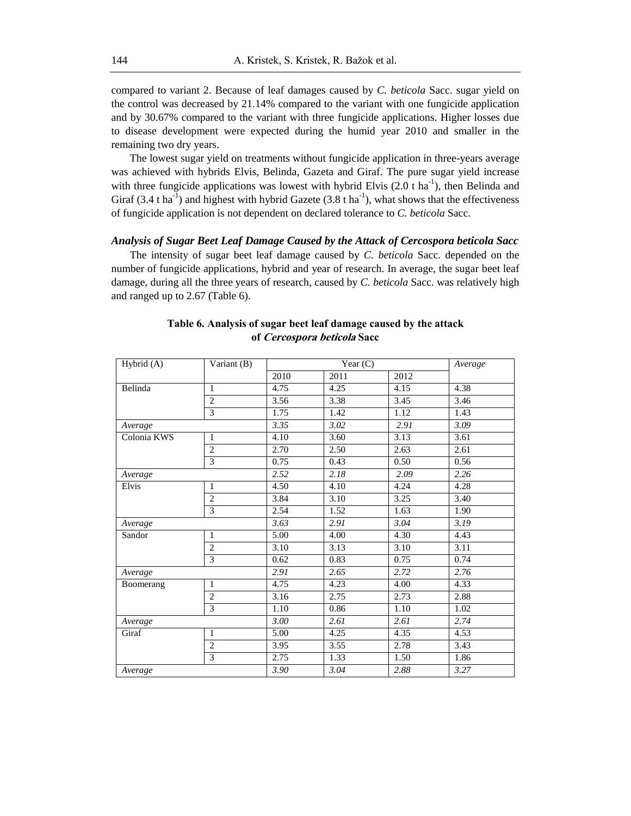compared to variant 2. Because of leaf damages caused by *C. beticola* Sacc. sugar yield on the control was decreased by 21.14% compared to the variant with one fungicide application and by 30.67% compared to the variant with three fungicide applications. Higher losses due to disease development were expected during the humid year 2010 and smaller in the remaining two dry years.

The lowest sugar yield on treatments without fungicide application in three-years average was achieved with hybrids Elvis, Belinda, Gazeta and Giraf. The pure sugar yield increase with three fungicide applications was lowest with hybrid Elvis  $(2.0 \text{ t} \text{ ha}^{-1})$ , then Belinda and Giraf (3.4 t ha<sup>-1</sup>) and highest with hybrid Gazete (3.8 t ha<sup>-1</sup>), what shows that the effectiveness of fungicide application is not dependent on declared tolerance to *C. beticola* Sacc.

#### *Analysis of Sugar Beet Leaf Damage Caused by the Attack of Cercospora beticola Sacc*

The intensity of sugar beet leaf damage caused by *C. beticola* Sacc. depended on the number of fungicide applications, hybrid and year of research. In average, the sugar beet leaf damage, during all the three years of research, caused by *C. beticola* Sacc*.* was relatively high and ranged up to 2.67 (Table 6).

| Hybrid (A)  | Variant (B)    | Year $(C)$ |      |      | Average           |  |
|-------------|----------------|------------|------|------|-------------------|--|
|             |                | 2010       | 2011 | 2012 |                   |  |
| Belinda     | $\mathbf{1}$   | 4.75       | 4.25 | 4.15 | 4.38              |  |
|             | $\overline{2}$ | 3.56       | 3.38 | 3.45 | $\overline{3.46}$ |  |
|             | 3              | 1.75       | 1.42 | 1.12 | 1.43              |  |
| Average     |                | 3.35       | 3.02 | 2.91 | 3.09              |  |
| Colonia KWS | $\mathbf{1}$   | 4.10       | 3.60 | 3.13 | 3.61              |  |
|             | $\overline{2}$ | 2.70       | 2.50 | 2.63 | 2.61              |  |
|             | 3              | 0.75       | 0.43 | 0.50 | 0.56              |  |
| Average     |                | 2.52       | 2.18 | 2.09 | 2.26              |  |
| Elvis       | $\mathbf{1}$   | 4.50       | 4.10 | 4.24 | 4.28              |  |
|             | $\overline{2}$ | 3.84       | 3.10 | 3.25 | 3.40              |  |
|             | 3              | 2.54       | 1.52 | 1.63 | 1.90              |  |
| Average     |                | 3.63       | 2.91 | 3.04 | 3.19              |  |
| Sandor      | $\mathbf{1}$   | 5.00       | 4.00 | 4.30 | 4.43              |  |
|             | $\overline{2}$ | 3.10       | 3.13 | 3.10 | 3.11              |  |
|             | $\mathfrak{Z}$ | 0.62       | 0.83 | 0.75 | 0.74              |  |
| Average     |                | 2.91       | 2.65 | 2.72 | 2.76              |  |
| Boomerang   | $\mathbf{1}$   | 4.75       | 4.23 | 4.00 | 4.33              |  |
|             | $\overline{2}$ | 3.16       | 2.75 | 2.73 | 2.88              |  |
|             | $\overline{3}$ | 1.10       | 0.86 | 1.10 | 1.02              |  |
| Average     |                | 3.00       | 2.61 | 2.61 | 2.74              |  |
| Giraf       | $\mathbf{1}$   | 5.00       | 4.25 | 4.35 | 4.53              |  |
|             | $\mathfrak{2}$ | 3.95       | 3.55 | 2.78 | 3.43              |  |
|             | 3              | 2.75       | 1.33 | 1.50 | 1.86              |  |
| Average     |                | 3.90       | 3.04 | 2.88 | 3.27              |  |

| Table 6. Analysis of sugar beet leaf damage caused by the attack |  |
|------------------------------------------------------------------|--|
| of Cercospora beticola Sacc                                      |  |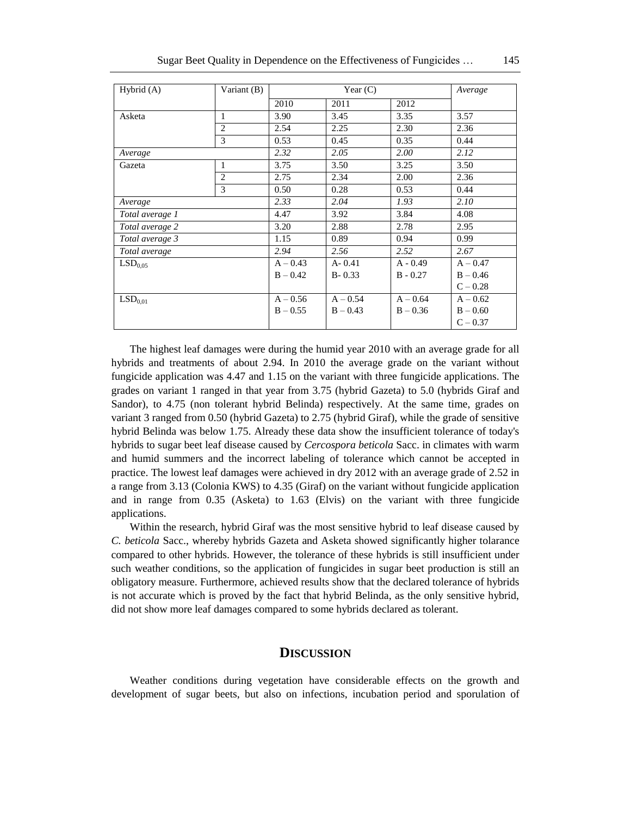| Hybrid (A)          | Variant (B)    | Year $(C)$ |            |            | Average    |
|---------------------|----------------|------------|------------|------------|------------|
|                     |                | 2010       | 2011       | 2012       |            |
| Asketa              | 1              | 3.90       | 3.45       | 3.35       | 3.57       |
|                     | $\overline{2}$ | 2.54       | 2.25       | 2.30       | 2.36       |
|                     | 3              | 0.53       | 0.45       | 0.35       | 0.44       |
| Average             |                | 2.32       | 2.05       | 2.00       | 2.12       |
| Gazeta              | 1              | 3.75       | 3.50       | 3.25       | 3.50       |
|                     | $\overline{2}$ | 2.75       | 2.34       | 2.00       | 2.36       |
|                     | 3              | 0.50       | 0.28       | 0.53       | 0.44       |
| Average             |                | 2.33       | 2.04       | 1.93       | 2.10       |
| Total average 1     |                | 4.47       | 3.92       | 3.84       | 4.08       |
| Total average 2     |                | 3.20       | 2.88       | 2.78       | 2.95       |
| Total average 3     |                | 1.15       | 0.89       | 0.94       | 0.99       |
| Total average       |                | 2.94       | 2.56       | 2.52       | 2.67       |
| LSD <sub>0.05</sub> |                | $A - 0.43$ | $A - 0.41$ | $A - 0.49$ | $A - 0.47$ |
|                     |                | $B - 0.42$ | $B - 0.33$ | $B - 0.27$ | $B - 0.46$ |
|                     |                |            |            |            | $C - 0.28$ |
| LSD <sub>0.01</sub> |                | $A - 0.56$ | $A - 0.54$ | $A - 0.64$ | $A - 0.62$ |
|                     |                | $B - 0.55$ | $B - 0.43$ | $B - 0.36$ | $B - 0.60$ |
|                     |                |            |            |            | $C - 0.37$ |

The highest leaf damages were during the humid year 2010 with an average grade for all hybrids and treatments of about 2.94. In 2010 the average grade on the variant without fungicide application was 4.47 and 1.15 on the variant with three fungicide applications. The grades on variant 1 ranged in that year from 3.75 (hybrid Gazeta) to 5.0 (hybrids Giraf and Sandor), to 4.75 (non tolerant hybrid Belinda) respectively. At the same time, grades on variant 3 ranged from 0.50 (hybrid Gazeta) to 2.75 (hybrid Giraf), while the grade of sensitive hybrid Belinda was below 1.75. Already these data show the insufficient tolerance of today's hybrids to sugar beet leaf disease caused by *Cercospora beticola* Sacc. in climates with warm and humid summers and the incorrect labeling of tolerance which cannot be accepted in practice. The lowest leaf damages were achieved in dry 2012 with an average grade of 2.52 in a range from 3.13 (Colonia KWS) to 4.35 (Giraf) on the variant without fungicide application and in range from 0.35 (Asketa) to 1.63 (Elvis) on the variant with three fungicide applications.

Within the research, hybrid Giraf was the most sensitive hybrid to leaf disease caused by *C. beticola* Sacc., whereby hybrids Gazeta and Asketa showed significantly higher tolarance compared to other hybrids. However, the tolerance of these hybrids is still insufficient under such weather conditions, so the application of fungicides in sugar beet production is still an obligatory measure. Furthermore, achieved results show that the declared tolerance of hybrids is not accurate which is proved by the fact that hybrid Belinda, as the only sensitive hybrid, did not show more leaf damages compared to some hybrids declared as tolerant.

#### **DISCUSSION**

Weather conditions during vegetation have considerable effects on the growth and development of sugar beets, but also on infections, incubation period and sporulation of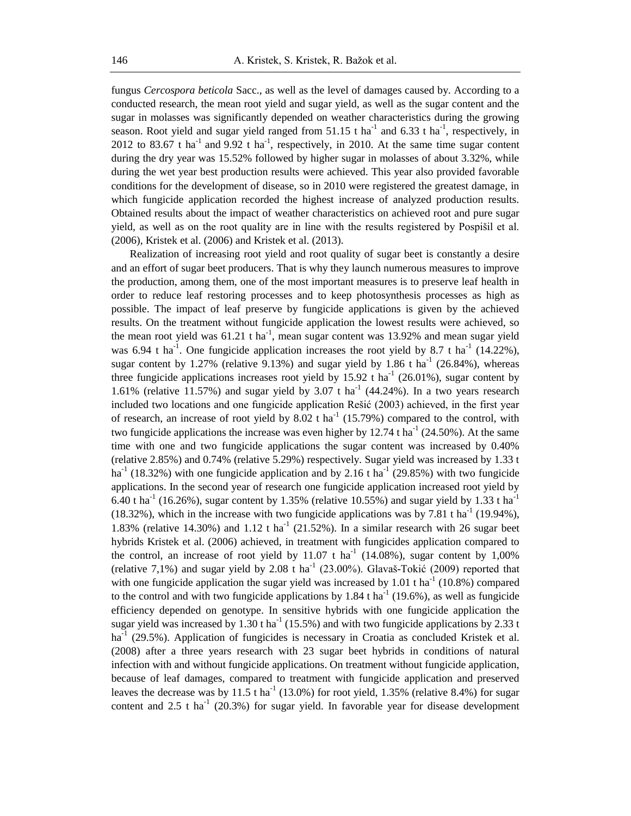fungus *Cercospora beticola* Sacc., as well as the level of damages caused by. According to a conducted research, the mean root yield and sugar yield, as well as the sugar content and the sugar in molasses was significantly depended on weather characteristics during the growing season. Root yield and sugar yield ranged from 51.15 t ha<sup>-1</sup> and 6.33 t ha<sup>-1</sup>, respectively, in 2012 to 83.67 t ha<sup>-1</sup> and 9.92 t ha<sup>-1</sup>, respectively, in 2010. At the same time sugar content during the dry year was 15.52% followed by higher sugar in molasses of about 3.32%, while during the wet year best production results were achieved. This year also provided favorable conditions for the development of disease, so in 2010 were registered the greatest damage, in which fungicide application recorded the highest increase of analyzed production results. Obtained results about the impact of weather characteristics on achieved root and pure sugar yield, as well as on the root quality are in line with the results registered by Pospišil et al. (2006), Kristek et al. (2006) and Kristek et al. (2013).

Realization of increasing root yield and root quality of sugar beet is constantly a desire and an effort of sugar beet producers. That is why they launch numerous measures to improve the production, among them, one of the most important measures is to preserve leaf health in order to reduce leaf restoring processes and to keep photosynthesis processes as high as possible. The impact of leaf preserve by fungicide applications is given by the achieved results. On the treatment without fungicide application the lowest results were achieved, so the mean root yield was  $61.21$  t ha<sup>-1</sup>, mean sugar content was 13.92% and mean sugar yield was 6.94 t ha<sup>-1</sup>. One fungicide application increases the root yield by 8.7 t ha<sup>-1</sup> (14.22%), sugar content by 1.27% (relative 9.13%) and sugar yield by 1.86 t ha<sup>-1</sup> (26.84%), whereas three fungicide applications increases root yield by 15.92 t ha<sup>-1</sup> (26.01%), sugar content by 1.61% (relative 11.57%) and sugar yield by 3.07 t ha<sup>-1</sup> (44.24%). In a two years research included two locations and one fungicide application Rešić (2003) achieved, in the first year of research, an increase of root yield by 8.02 t ha<sup>-1</sup> (15.79%) compared to the control, with two fungicide applications the increase was even higher by 12.74 t ha<sup>-1</sup> (24.50%). At the same time with one and two fungicide applications the sugar content was increased by 0.40% (relative 2.85%) and 0.74% (relative 5.29%) respectively. Sugar yield was increased by 1.33 t ha<sup>-1</sup> (18.32%) with one fungicide application and by 2.16 t ha<sup>-1</sup> (29.85%) with two fungicide applications. In the second year of research one fungicide application increased root yield by 6.40 t ha<sup>-1</sup> (16.26%), sugar content by 1.35% (relative 10.55%) and sugar yield by 1.33 t ha<sup>-1</sup>  $(18.32\%)$ , which in the increase with two fungicide applications was by 7.81 t ha<sup>-1</sup> (19.94%), 1.83% (relative 14.30%) and 1.12 t ha<sup>-1</sup> (21.52%). In a similar research with 26 sugar beet hybrids Kristek et al. (2006) achieved, in treatment with fungicides application compared to the control, an increase of root yield by 11.07 t ha<sup>-1</sup> (14.08%), sugar content by 1,00% (relative 7,1%) and sugar yield by 2.08 t ha<sup>-1</sup> (23.00%). Glavaš-Tokić (2009) reported that with one fungicide application the sugar yield was increased by 1.01 t ha<sup>-1</sup> (10.8%) compared to the control and with two fungicide applications by 1.84 t ha<sup>-1</sup> (19.6%), as well as fungicide efficiency depended on genotype. In sensitive hybrids with one fungicide application the sugar yield was increased by 1.30 t ha<sup>-1</sup> (15.5%) and with two fungicide applications by 2.33 t  $ha^{-1}$  (29.5%). Application of fungicides is necessary in Croatia as concluded Kristek et al. (2008) after a three years research with 23 sugar beet hybrids in conditions of natural infection with and without fungicide applications. On treatment without fungicide application, because of leaf damages, compared to treatment with fungicide application and preserved leaves the decrease was by 11.5 t ha<sup>-1</sup> (13.0%) for root yield, 1.35% (relative 8.4%) for sugar content and  $2.5$  t ha<sup>-1</sup> (20.3%) for sugar yield. In favorable year for disease development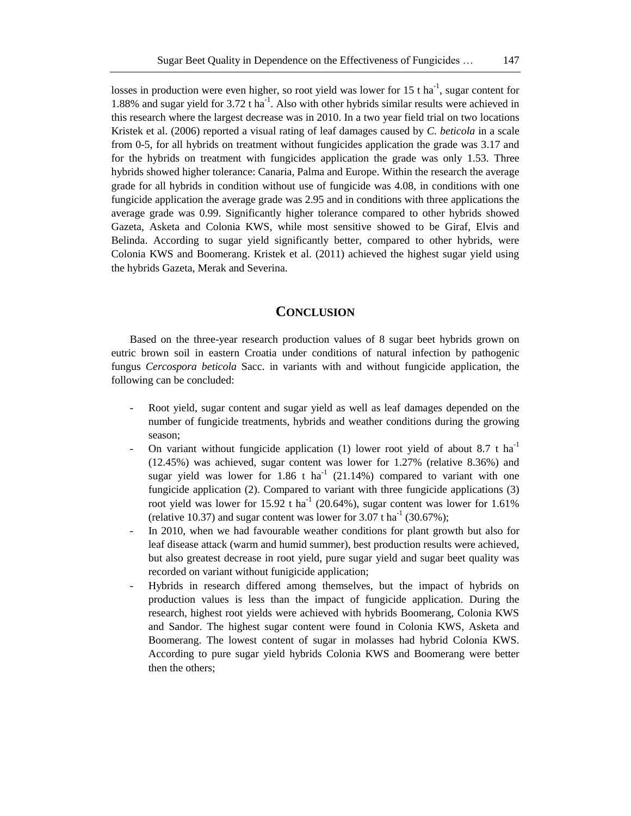losses in production were even higher, so root yield was lower for 15 t ha<sup>-1</sup>, sugar content for 1.88% and sugar yield for  $3.72$  t ha<sup>-1</sup>. Also with other hybrids similar results were achieved in this research where the largest decrease was in 2010. In a two year field trial on two locations Kristek et al. (2006) reported a visual rating of leaf damages caused by *C. beticola* in a scale from 0-5, for all hybrids on treatment without fungicides application the grade was 3.17 and for the hybrids on treatment with fungicides application the grade was only 1.53. Three hybrids showed higher tolerance: Canaria, Palma and Europe. Within the research the average grade for all hybrids in condition without use of fungicide was 4.08, in conditions with one fungicide application the average grade was 2.95 and in conditions with three applications the average grade was 0.99. Significantly higher tolerance compared to other hybrids showed Gazeta, Asketa and Colonia KWS, while most sensitive showed to be Giraf, Elvis and Belinda. According to sugar yield significantly better, compared to other hybrids, were Colonia KWS and Boomerang. Kristek et al. (2011) achieved the highest sugar yield using the hybrids Gazeta, Merak and Severina.

# **CONCLUSION**

Based on the three-year research production values of 8 sugar beet hybrids grown on eutric brown soil in eastern Croatia under conditions of natural infection by pathogenic fungus *Cercospora beticola* Sacc. in variants with and without fungicide application, the following can be concluded:

- Root yield, sugar content and sugar yield as well as leaf damages depended on the number of fungicide treatments, hybrids and weather conditions during the growing season;
- On variant without fungicide application (1) lower root yield of about 8.7 t ha<sup>-1</sup> (12.45%) was achieved, sugar content was lower for 1.27% (relative 8.36%) and sugar yield was lower for 1.86 t ha<sup>-1</sup> (21.14%) compared to variant with one fungicide application (2). Compared to variant with three fungicide applications (3) root yield was lower for 15.92 t ha<sup>-1</sup> (20.64%), sugar content was lower for  $1.61\%$ (relative 10.37) and sugar content was lower for 3.07 t ha<sup>-1</sup> (30.67%);
- In 2010, when we had favourable weather conditions for plant growth but also for leaf disease attack (warm and humid summer), best production results were achieved, but also greatest decrease in root yield, pure sugar yield and sugar beet quality was recorded on variant without funigicide application;
- Hybrids in research differed among themselves, but the impact of hybrids on production values is less than the impact of fungicide application. During the research, highest root yields were achieved with hybrids Boomerang, Colonia KWS and Sandor. The highest sugar content were found in Colonia KWS, Asketa and Boomerang. The lowest content of sugar in molasses had hybrid Colonia KWS. According to pure sugar yield hybrids Colonia KWS and Boomerang were better then the others;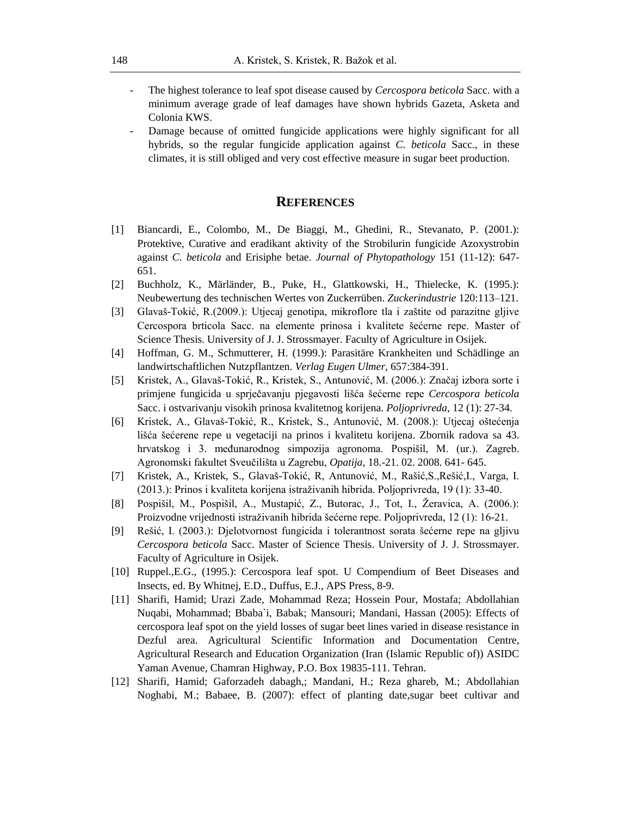- The highest tolerance to leaf spot disease caused by *Cercospora beticola* Sacc. with a minimum average grade of leaf damages have shown hybrids Gazeta, Asketa and Colonia KWS.
- Damage because of omitted fungicide applications were highly significant for all hybrids, so the regular fungicide application against *C. beticola* Sacc., in these climates, it is still obliged and very cost effective measure in sugar beet production.

#### **REFERENCES**

- [1] Biancardi, E., Colombo, M., De Biaggi, M., Ghedini, R., Stevanato, P. (2001.): Protektive, Curative and eradikant aktivity of the Strobilurin fungicide Azoxystrobin against *C. beticola* and Erisiphe betae. *Journal of Phytopathology* 151 (11-12): 647- 651.
- [2] Buchholz, K., Märländer, B., Puke, H., Glattkowski, H., Thielecke, K. (1995.): Neubewertung des technischen Wertes von Zuckerrüben. *Zuckerindustrie* 120:113–121.
- [3] Glavaš-Tokić, R.(2009.): Utjecaj genotipa, mikroflore tla i zaštite od parazitne gljive Cercospora brticola Sacc. na elemente prinosa i kvalitete šećerne repe. Master of Science Thesis. University of J. J. Strossmayer. Faculty of Agriculture in Osijek.
- [4] Hoffman, G. M., Schmutterer, H. (1999.): Parasitäre Krankheiten und Schädlinge an landwirtschaftlichen Nutzpflantzen. *Verlag Eugen Ulmer,* 657:384-391.
- [5] Kristek, A., Glavaš-Tokić, R., Kristek, S., Antunović, M. (2006.): Značaj izbora sorte i primjene fungicida u sprječavanju pjegavosti lišća šećerne repe *Cercospora beticola* Sacc. i ostvarivanju visokih prinosa kvalitetnog korijena. *Poljoprivreda*, 12 (1): 27-34.
- [6] Kristek, A., Glavaš-Tokić, R., Kristek, S., Antunović, M. (2008.): Utjecaj oštećenja lišća šećerene repe u vegetaciji na prinos i kvalitetu korijena. Zbornik radova sa 43. hrvatskog i 3. međunarodnog simpozija agronoma. Pospišil, M. (ur.). Zagreb. Agronomski fakultet Sveučilišta u Zagrebu, *Opatija,* 18.-21. 02. 2008. 641- 645.
- [7] Kristek, A., Kristek, S., Glavaš-Tokić, R, Antunović, M., Rašić,S.,Rešić,I., Varga, I. (2013.): Prinos i kvaliteta korijena istraživanih hibrida. Poljoprivreda, 19 (1): 33-40.
- [8] Pospišil, M., Pospišil, A., Mustapić, Z., Butorac, J., Tot, I., Ţeravica, A. (2006.): Proizvodne vrijednosti istraživanih hibrida šećerne repe. Poljoprivreda, 12 (1): 16-21.
- [9] Rešić, I. (2003.): Djelotvornost fungicida i tolerantnost sorata šećerne repe na gljivu *Cercospora beticola* Sacc. Master of Science Thesis. University of J. J. Strossmayer. Faculty of Agriculture in Osijek.
- [10] Ruppel.,E.G., (1995.): Cercospora leaf spot. U Compendium of Beet Diseases and Insects, ed. By Whitnej, E.D., Duffus, E.J., APS Press, 8-9.
- [11] Sharifi, Hamid; Urazi Zade, Mohammad Reza; Hossein Pour, Mostafa; Abdollahian Nuqabi, Mohammad; Bbaba`i, Babak; Mansouri; Mandani, Hassan (2005): Effects of cercospora leaf spot on the yield losses of sugar beet lines varied in disease resistance in Dezful area. Agricultural Scientific Information and Documentation Centre, Agricultural Research and Education Organization (Iran (Islamic Republic of)) ASIDC Yaman Avenue, Chamran Highway, P.O. Box 19835-111. Tehran.
- [12] Sharifi, Hamid; Gaforzadeh dabagh,; Mandani, H.; Reza ghareb, M.; Abdollahian Noghabi, M.; Babaee, B. (2007): effect of planting date,sugar beet cultivar and